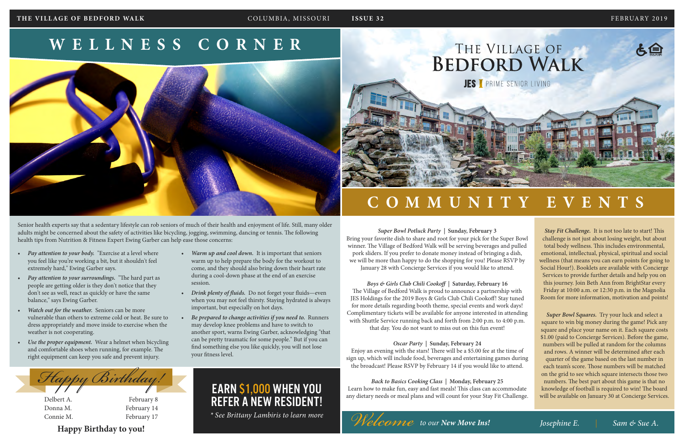### **Happy Birthday to you!**

占合



JES TRIME SENIOR LIVING



Delbert A. Donna M. Connie M.

February 8 February 14 February 17

*Stay Fit Challenge.* It is not too late to start! This challenge is not just about losing weight, but about total body wellness. This includes environmental, emotional, intellectual, physical, spiritual and social wellness (that means you can earn points for going to Social Hour!). Booklets are available with Concierge Services to provide further details and help you on this journey. Join Beth Ann from BrightStar every Friday at 10:00 a.m. or 12:30 p.m. in the Magnolia Room for more information, motivation and points!

*Super Bowl Squares.* Try your luck and select a square to win big money during the game! Pick any square and place your name on it. Each square costs \$1.00 (paid to Concierge Services). Before the game, numbers will be pulled at random for the columns and rows. A winner will be determined after each quarter of the game based on the last number in each team's score. Those numbers will be matched on the grid to see which square intersects those two numbers. The best part about this game is that no knowledge of football is required to win! The board will be available on January 30 at Concierge Services.

- *• Pay attention to your body.* "Exercise at a level where you feel like you're working a bit, but it shouldn't feel extremely hard," Ewing Garber says.
- *• Pay attention to your surroundings.* "The hard part as people are getting older is they don't notice that they don't see as well, react as quickly or have the same balance," says Ewing Garber.
- *• Watch out for the weather.* Seniors can be more vulnerable than others to extreme cold or heat. Be sure to dress appropriately and move inside to exercise when the weather is not cooperating.
- *• Use the proper equipment.* Wear a helmet when bicycling and comfortable shoes when running, for example. The right equipment can keep you safe and prevent injury.
- *• Warm up and cool down.* It is important that seniors warm up to help prepare the body for the workout to come, and they should also bring down their heart rate during a cool-down phase at the end of an exercise session.
- *• Drink plenty of fluids.* Do not forget your fluids—even when you may not feel thirsty. Staying hydrated is always important, but especially on hot days.
- *• Be prepared to change activities if you need to.* Runners may develop knee problems and have to switch to another sport, warns Ewing Garber, acknowledging "that can be pretty traumatic for some people." But if you can find something else you like quickly, you will not lose your fitness level.

Senior health experts say that a sedentary lifestyle can rob seniors of much of their health and enjoyment of life. Still, many older adults might be concerned about the safety of activities like bicycling, jogging, swimming, dancing or tennis. The following health tips from Nutrition & Fitness Expert Ewing Garber can help ease those concerns:

## EARN \$1,000 WHEN YOU REFER A NEW RESIDENT!

*\* See Brittany Lambiris to learn more*



*Super Bowl Potluck Party |* **Sunday, February 3** Bring your favorite dish to share and root for your pick for the Super Bowl winner. The Village of Bedford Walk will be serving beverages and pulled pork sliders. If you prefer to donate money instead of bringing a dish, we will be more than happy to do the shopping for you! Please RSVP by January 28 with Concierge Services if you would like to attend.

*Back to Basics Cooking Class* **| Monday, February 25** Learn how to make fun, easy and fast meals! This class can accommodate any dietary needs or meal plans and will count for your Stay Fit Challenge.

### *Oscar Party* **| Sunday, February 24**



Enjoy an evening with the stars! There will be a \$5.00 fee at the time of sign up, which will include food, beverages and entertaining games during the broadcast! Please RSVP by February 14 if you would like to attend.

*Boys & Girls Club Chili Cookoff* **| Saturday, February 16** The Village of Bedford Walk is proud to announce a partnership with JES Holdings for the 2019 Boys & Girls Club Chili Cookoff! Stay tuned for more details regarding booth theme, special events and work days! Complimentary tickets will be available for anyone interested in attending with Shuttle Service running back and forth from 2:00 p.m. to 4:00 p.m. that day. You do not want to miss out on this fun event!

## **WELLNESS CORNER**



# **COMMUNITY EVENTS**